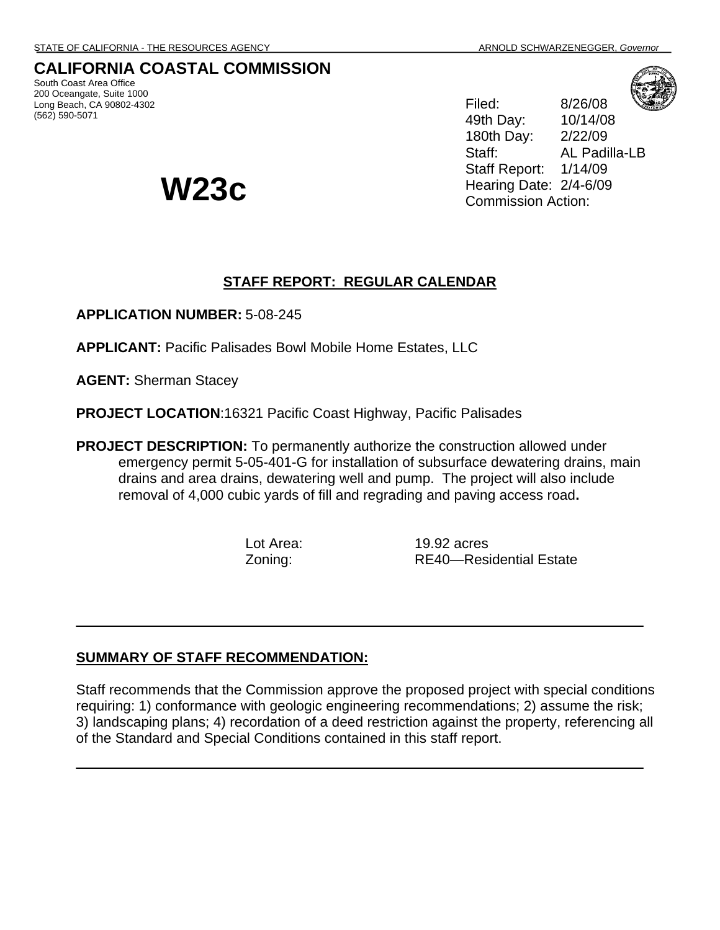# **CALIFORNIA COASTAL COMMISSION**

South Coast Area Office 200 Oceangate, Suite 1000 Long Beach, CA 90802-4302 (562) 590-5071

Filed: 8/26/08 49th Day: 10/14/08 180th Day: 2/22/09 Staff: AL Padilla-LB Staff Report: 1/14/09 Hearing Date: 2/4-6/09 **W23c** Hearing Date: 2/4-6<br>Commission Action:

## **STAFF REPORT: REGULAR CALENDAR**

**APPLICATION NUMBER:** 5-08-245

**APPLICANT:** Pacific Palisades Bowl Mobile Home Estates, LLC

**AGENT:** Sherman Stacey

**PROJECT LOCATION**:16321 Pacific Coast Highway, Pacific Palisades

**PROJECT DESCRIPTION:** To permanently authorize the construction allowed under emergency permit 5-05-401-G for installation of subsurface dewatering drains, main drains and area drains, dewatering well and pump. The project will also include removal of 4,000 cubic yards of fill and regrading and paving access road**.** 

Lot Area: 19.92 acres Zoning: RE40—Residential Estate

### **SUMMARY OF STAFF RECOMMENDATION:**

Staff recommends that the Commission approve the proposed project with special conditions requiring: 1) conformance with geologic engineering recommendations; 2) assume the risk; 3) landscaping plans; 4) recordation of a deed restriction against the property, referencing all of the Standard and Special Conditions contained in this staff report.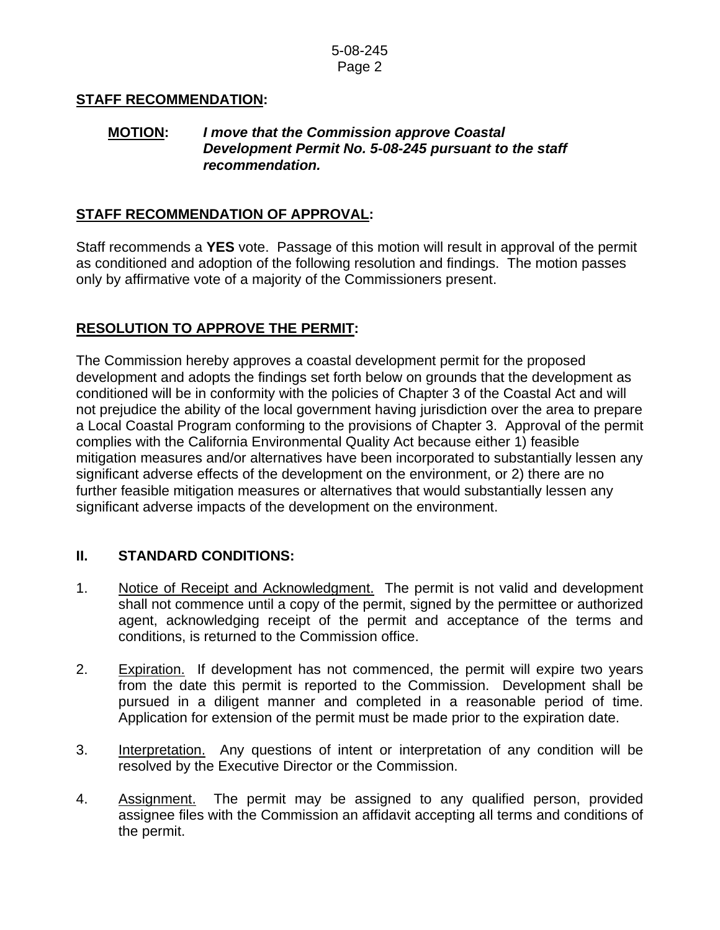#### 5-08-245 Page 2

## **STAFF RECOMMENDATION:**

### **MOTION:** *I move that the Commission approve Coastal Development Permit No. 5-08-245 pursuant to the staff recommendation.*

## **STAFF RECOMMENDATION OF APPROVAL:**

Staff recommends a **YES** vote. Passage of this motion will result in approval of the permit as conditioned and adoption of the following resolution and findings. The motion passes only by affirmative vote of a majority of the Commissioners present.

## **RESOLUTION TO APPROVE THE PERMIT:**

The Commission hereby approves a coastal development permit for the proposed development and adopts the findings set forth below on grounds that the development as conditioned will be in conformity with the policies of Chapter 3 of the Coastal Act and will not prejudice the ability of the local government having jurisdiction over the area to prepare a Local Coastal Program conforming to the provisions of Chapter 3. Approval of the permit complies with the California Environmental Quality Act because either 1) feasible mitigation measures and/or alternatives have been incorporated to substantially lessen any significant adverse effects of the development on the environment, or 2) there are no further feasible mitigation measures or alternatives that would substantially lessen any significant adverse impacts of the development on the environment.

## **II. STANDARD CONDITIONS:**

- 1. Notice of Receipt and Acknowledgment. The permit is not valid and development shall not commence until a copy of the permit, signed by the permittee or authorized agent, acknowledging receipt of the permit and acceptance of the terms and conditions, is returned to the Commission office.
- 2. Expiration. If development has not commenced, the permit will expire two years from the date this permit is reported to the Commission. Development shall be pursued in a diligent manner and completed in a reasonable period of time. Application for extension of the permit must be made prior to the expiration date.
- 3. Interpretation. Any questions of intent or interpretation of any condition will be resolved by the Executive Director or the Commission.
- 4. Assignment. The permit may be assigned to any qualified person, provided assignee files with the Commission an affidavit accepting all terms and conditions of the permit.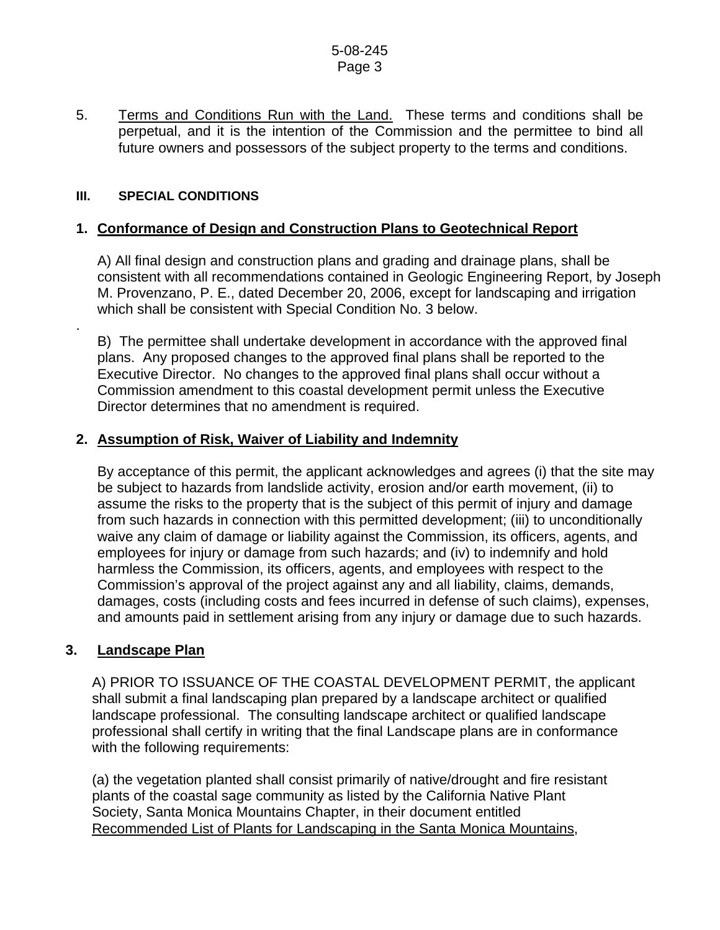5. Terms and Conditions Run with the Land. These terms and conditions shall be perpetual, and it is the intention of the Commission and the permittee to bind all future owners and possessors of the subject property to the terms and conditions.

### **III. SPECIAL CONDITIONS**

.

### **1. Conformance of Design and Construction Plans to Geotechnical Report**

 A) All final design and construction plans and grading and drainage plans, shall be consistent with all recommendations contained in Geologic Engineering Report, by Joseph M. Provenzano, P. E., dated December 20, 2006, except for landscaping and irrigation which shall be consistent with Special Condition No. 3 below.

 B) The permittee shall undertake development in accordance with the approved final plans. Any proposed changes to the approved final plans shall be reported to the Executive Director. No changes to the approved final plans shall occur without a Commission amendment to this coastal development permit unless the Executive Director determines that no amendment is required.

### **2. Assumption of Risk, Waiver of Liability and Indemnity**

 By acceptance of this permit, the applicant acknowledges and agrees (i) that the site may be subject to hazards from landslide activity, erosion and/or earth movement, (ii) to assume the risks to the property that is the subject of this permit of injury and damage from such hazards in connection with this permitted development; (iii) to unconditionally waive any claim of damage or liability against the Commission, its officers, agents, and employees for injury or damage from such hazards; and (iv) to indemnify and hold harmless the Commission, its officers, agents, and employees with respect to the Commission's approval of the project against any and all liability, claims, demands, damages, costs (including costs and fees incurred in defense of such claims), expenses, and amounts paid in settlement arising from any injury or damage due to such hazards.

#### **3. Landscape Plan**

A) PRIOR TO ISSUANCE OF THE COASTAL DEVELOPMENT PERMIT, the applicant shall submit a final landscaping plan prepared by a landscape architect or qualified landscape professional. The consulting landscape architect or qualified landscape professional shall certify in writing that the final Landscape plans are in conformance with the following requirements:

 (a) the vegetation planted shall consist primarily of native/drought and fire resistant plants of the coastal sage community as listed by the California Native Plant Society, Santa Monica Mountains Chapter, in their document entitled Recommended List of Plants for Landscaping in the Santa Monica Mountains,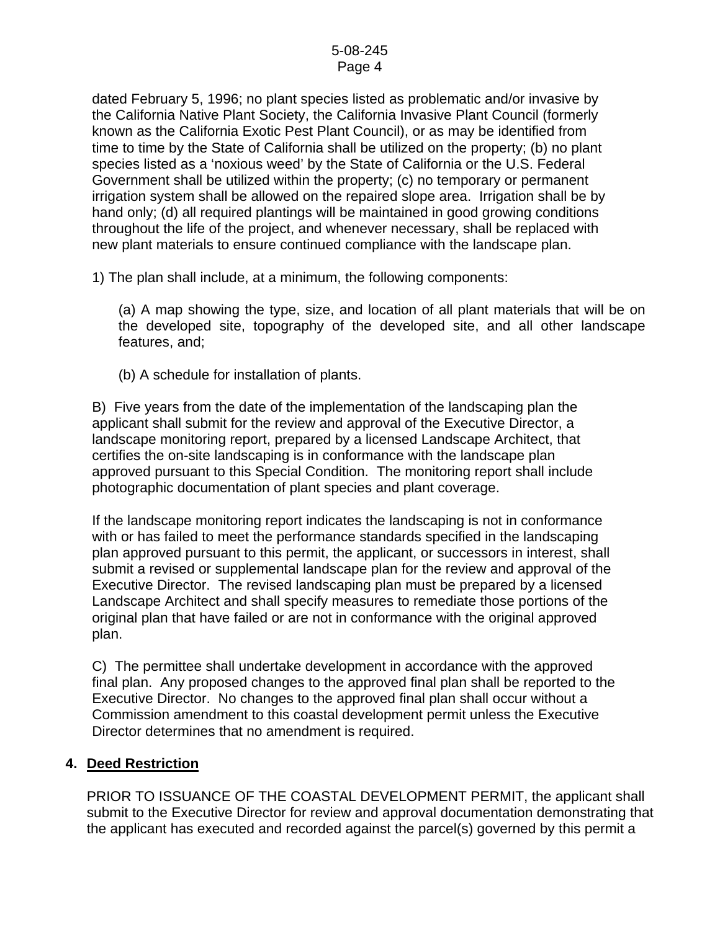dated February 5, 1996; no plant species listed as problematic and/or invasive by the California Native Plant Society, the California Invasive Plant Council (formerly known as the California Exotic Pest Plant Council), or as may be identified from time to time by the State of California shall be utilized on the property; (b) no plant species listed as a 'noxious weed' by the State of California or the U.S. Federal Government shall be utilized within the property; (c) no temporary or permanent irrigation system shall be allowed on the repaired slope area. Irrigation shall be by hand only; (d) all required plantings will be maintained in good growing conditions throughout the life of the project, and whenever necessary, shall be replaced with new plant materials to ensure continued compliance with the landscape plan.

1) The plan shall include, at a minimum, the following components:

 (a) A map showing the type, size, and location of all plant materials that will be on the developed site, topography of the developed site, and all other landscape features, and;

(b) A schedule for installation of plants.

 B) Five years from the date of the implementation of the landscaping plan the applicant shall submit for the review and approval of the Executive Director, a landscape monitoring report, prepared by a licensed Landscape Architect, that certifies the on-site landscaping is in conformance with the landscape plan approved pursuant to this Special Condition. The monitoring report shall include photographic documentation of plant species and plant coverage.

 If the landscape monitoring report indicates the landscaping is not in conformance with or has failed to meet the performance standards specified in the landscaping plan approved pursuant to this permit, the applicant, or successors in interest, shall submit a revised or supplemental landscape plan for the review and approval of the Executive Director. The revised landscaping plan must be prepared by a licensed Landscape Architect and shall specify measures to remediate those portions of the original plan that have failed or are not in conformance with the original approved plan.

 C) The permittee shall undertake development in accordance with the approved final plan. Any proposed changes to the approved final plan shall be reported to the Executive Director. No changes to the approved final plan shall occur without a Commission amendment to this coastal development permit unless the Executive Director determines that no amendment is required.

### **4. Deed Restriction**

PRIOR TO ISSUANCE OF THE COASTAL DEVELOPMENT PERMIT, the applicant shall submit to the Executive Director for review and approval documentation demonstrating that the applicant has executed and recorded against the parcel(s) governed by this permit a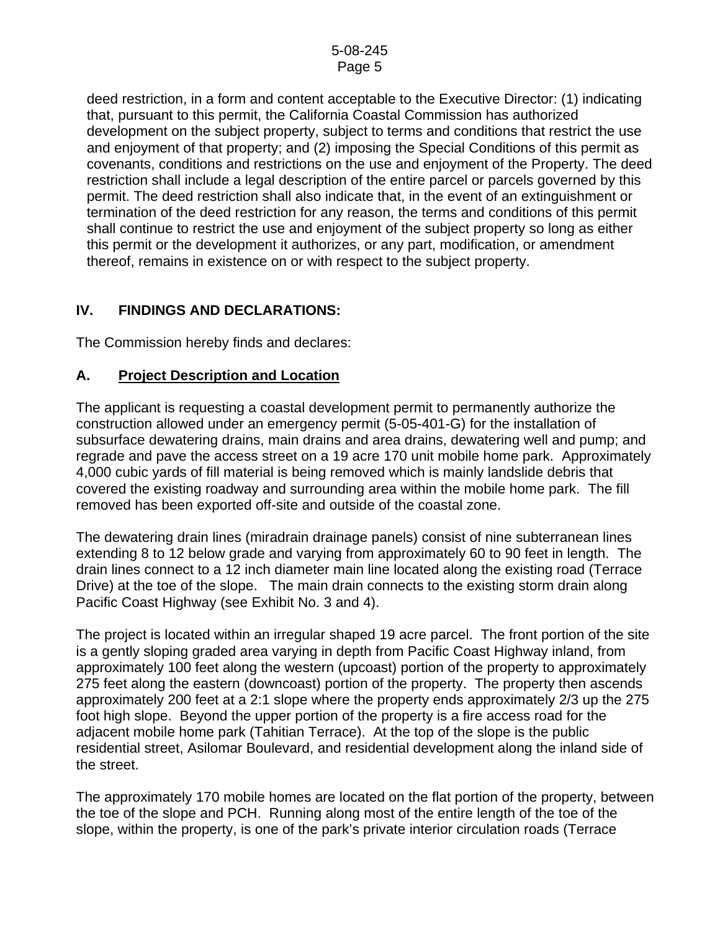deed restriction, in a form and content acceptable to the Executive Director: (1) indicating that, pursuant to this permit, the California Coastal Commission has authorized development on the subject property, subject to terms and conditions that restrict the use and enjoyment of that property; and (2) imposing the Special Conditions of this permit as covenants, conditions and restrictions on the use and enjoyment of the Property. The deed restriction shall include a legal description of the entire parcel or parcels governed by this permit. The deed restriction shall also indicate that, in the event of an extinguishment or termination of the deed restriction for any reason, the terms and conditions of this permit shall continue to restrict the use and enjoyment of the subject property so long as either this permit or the development it authorizes, or any part, modification, or amendment thereof, remains in existence on or with respect to the subject property.

# **IV. FINDINGS AND DECLARATIONS:**

The Commission hereby finds and declares:

## **A. Project Description and Location**

The applicant is requesting a coastal development permit to permanently authorize the construction allowed under an emergency permit (5-05-401-G) for the installation of subsurface dewatering drains, main drains and area drains, dewatering well and pump; and regrade and pave the access street on a 19 acre 170 unit mobile home park. Approximately 4,000 cubic yards of fill material is being removed which is mainly landslide debris that covered the existing roadway and surrounding area within the mobile home park. The fill removed has been exported off-site and outside of the coastal zone.

The dewatering drain lines (miradrain drainage panels) consist of nine subterranean lines extending 8 to 12 below grade and varying from approximately 60 to 90 feet in length. The drain lines connect to a 12 inch diameter main line located along the existing road (Terrace Drive) at the toe of the slope. The main drain connects to the existing storm drain along Pacific Coast Highway (see Exhibit No. 3 and 4).

The project is located within an irregular shaped 19 acre parcel. The front portion of the site is a gently sloping graded area varying in depth from Pacific Coast Highway inland, from approximately 100 feet along the western (upcoast) portion of the property to approximately 275 feet along the eastern (downcoast) portion of the property. The property then ascends approximately 200 feet at a 2:1 slope where the property ends approximately 2/3 up the 275 foot high slope. Beyond the upper portion of the property is a fire access road for the adjacent mobile home park (Tahitian Terrace). At the top of the slope is the public residential street, Asilomar Boulevard, and residential development along the inland side of the street.

The approximately 170 mobile homes are located on the flat portion of the property, between the toe of the slope and PCH. Running along most of the entire length of the toe of the slope, within the property, is one of the park's private interior circulation roads (Terrace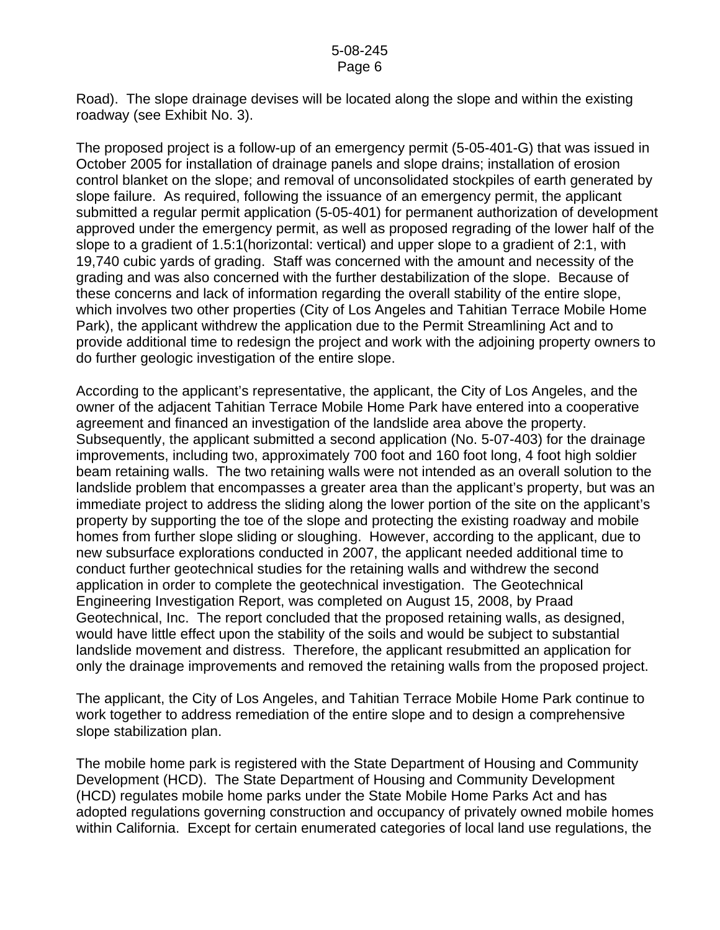Road). The slope drainage devises will be located along the slope and within the existing roadway (see Exhibit No. 3).

The proposed project is a follow-up of an emergency permit (5-05-401-G) that was issued in October 2005 for installation of drainage panels and slope drains; installation of erosion control blanket on the slope; and removal of unconsolidated stockpiles of earth generated by slope failure. As required, following the issuance of an emergency permit, the applicant submitted a regular permit application (5-05-401) for permanent authorization of development approved under the emergency permit, as well as proposed regrading of the lower half of the slope to a gradient of 1.5:1(horizontal: vertical) and upper slope to a gradient of 2:1, with 19,740 cubic yards of grading. Staff was concerned with the amount and necessity of the grading and was also concerned with the further destabilization of the slope. Because of these concerns and lack of information regarding the overall stability of the entire slope, which involves two other properties (City of Los Angeles and Tahitian Terrace Mobile Home Park), the applicant withdrew the application due to the Permit Streamlining Act and to provide additional time to redesign the project and work with the adjoining property owners to do further geologic investigation of the entire slope.

According to the applicant's representative, the applicant, the City of Los Angeles, and the owner of the adjacent Tahitian Terrace Mobile Home Park have entered into a cooperative agreement and financed an investigation of the landslide area above the property. Subsequently, the applicant submitted a second application (No. 5-07-403) for the drainage improvements, including two, approximately 700 foot and 160 foot long, 4 foot high soldier beam retaining walls. The two retaining walls were not intended as an overall solution to the landslide problem that encompasses a greater area than the applicant's property, but was an immediate project to address the sliding along the lower portion of the site on the applicant's property by supporting the toe of the slope and protecting the existing roadway and mobile homes from further slope sliding or sloughing. However, according to the applicant, due to new subsurface explorations conducted in 2007, the applicant needed additional time to conduct further geotechnical studies for the retaining walls and withdrew the second application in order to complete the geotechnical investigation. The Geotechnical Engineering Investigation Report, was completed on August 15, 2008, by Praad Geotechnical, Inc. The report concluded that the proposed retaining walls, as designed, would have little effect upon the stability of the soils and would be subject to substantial landslide movement and distress. Therefore, the applicant resubmitted an application for only the drainage improvements and removed the retaining walls from the proposed project.

The applicant, the City of Los Angeles, and Tahitian Terrace Mobile Home Park continue to work together to address remediation of the entire slope and to design a comprehensive slope stabilization plan.

The mobile home park is registered with the State Department of Housing and Community Development (HCD). The State Department of Housing and Community Development (HCD) regulates mobile home parks under the State Mobile Home Parks Act and has adopted regulations governing construction and occupancy of privately owned mobile homes within California. Except for certain enumerated categories of local land use regulations, the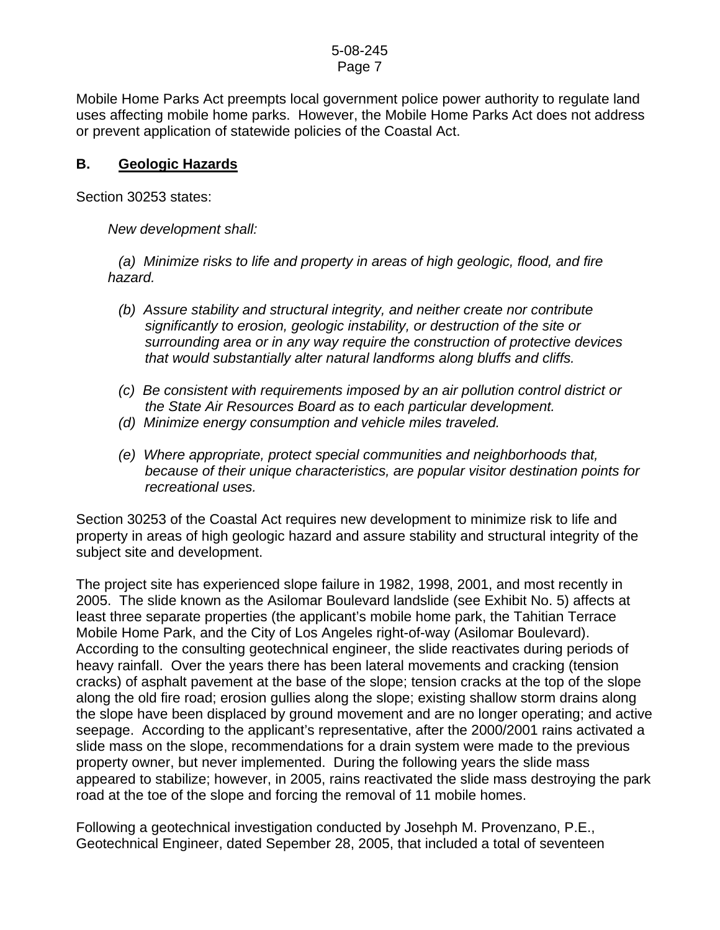Mobile Home Parks Act preempts local government police power authority to regulate land uses affecting mobile home parks. However, the Mobile Home Parks Act does not address or prevent application of statewide policies of the Coastal Act.

## **B. Geologic Hazards**

Section 30253 states:

*New development shall:* 

 *(a) Minimize risks to life and property in areas of high geologic, flood, and fire hazard.* 

- *(b) Assure stability and structural integrity, and neither create nor contribute significantly to erosion, geologic instability, or destruction of the site or surrounding area or in any way require the construction of protective devices that would substantially alter natural landforms along bluffs and cliffs.*
- *(c) Be consistent with requirements imposed by an air pollution control district or the State Air Resources Board as to each particular development.*
- *(d) Minimize energy consumption and vehicle miles traveled.*
- *(e) Where appropriate, protect special communities and neighborhoods that, because of their unique characteristics, are popular visitor destination points for recreational uses.*

Section 30253 of the Coastal Act requires new development to minimize risk to life and property in areas of high geologic hazard and assure stability and structural integrity of the subject site and development.

The project site has experienced slope failure in 1982, 1998, 2001, and most recently in 2005. The slide known as the Asilomar Boulevard landslide (see Exhibit No. 5) affects at least three separate properties (the applicant's mobile home park, the Tahitian Terrace Mobile Home Park, and the City of Los Angeles right-of-way (Asilomar Boulevard). According to the consulting geotechnical engineer, the slide reactivates during periods of heavy rainfall. Over the years there has been lateral movements and cracking (tension cracks) of asphalt pavement at the base of the slope; tension cracks at the top of the slope along the old fire road; erosion gullies along the slope; existing shallow storm drains along the slope have been displaced by ground movement and are no longer operating; and active seepage. According to the applicant's representative, after the 2000/2001 rains activated a slide mass on the slope, recommendations for a drain system were made to the previous property owner, but never implemented. During the following years the slide mass appeared to stabilize; however, in 2005, rains reactivated the slide mass destroying the park road at the toe of the slope and forcing the removal of 11 mobile homes.

Following a geotechnical investigation conducted by Josehph M. Provenzano, P.E., Geotechnical Engineer, dated Sepember 28, 2005, that included a total of seventeen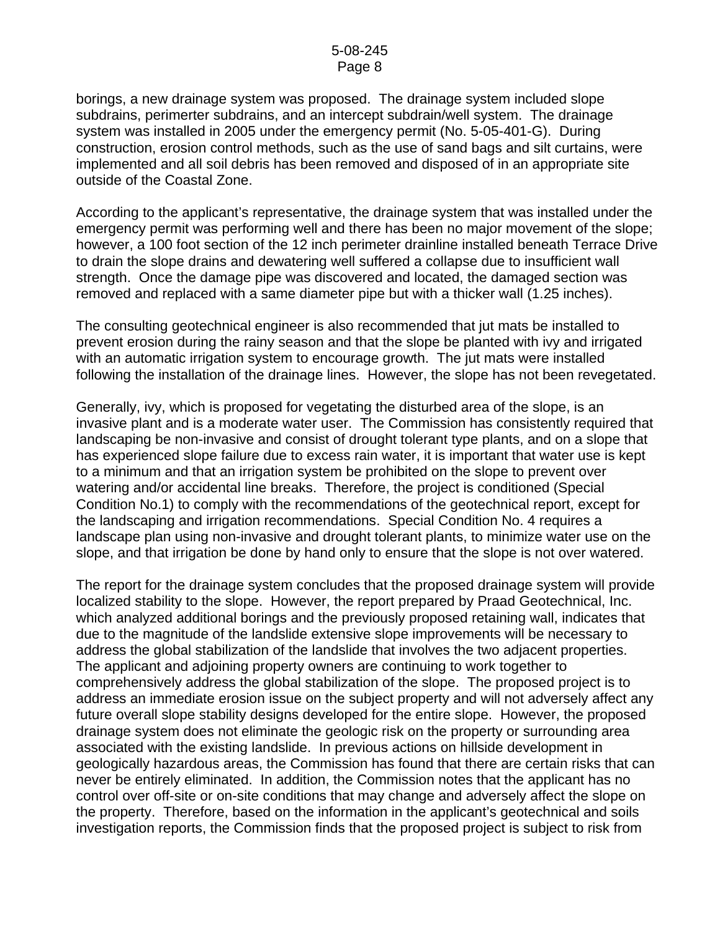borings, a new drainage system was proposed. The drainage system included slope subdrains, perimerter subdrains, and an intercept subdrain/well system. The drainage system was installed in 2005 under the emergency permit (No. 5-05-401-G). During construction, erosion control methods, such as the use of sand bags and silt curtains, were implemented and all soil debris has been removed and disposed of in an appropriate site outside of the Coastal Zone.

According to the applicant's representative, the drainage system that was installed under the emergency permit was performing well and there has been no major movement of the slope; however, a 100 foot section of the 12 inch perimeter drainline installed beneath Terrace Drive to drain the slope drains and dewatering well suffered a collapse due to insufficient wall strength. Once the damage pipe was discovered and located, the damaged section was removed and replaced with a same diameter pipe but with a thicker wall (1.25 inches).

The consulting geotechnical engineer is also recommended that jut mats be installed to prevent erosion during the rainy season and that the slope be planted with ivy and irrigated with an automatic irrigation system to encourage growth. The jut mats were installed following the installation of the drainage lines. However, the slope has not been revegetated.

Generally, ivy, which is proposed for vegetating the disturbed area of the slope, is an invasive plant and is a moderate water user. The Commission has consistently required that landscaping be non-invasive and consist of drought tolerant type plants, and on a slope that has experienced slope failure due to excess rain water, it is important that water use is kept to a minimum and that an irrigation system be prohibited on the slope to prevent over watering and/or accidental line breaks. Therefore, the project is conditioned (Special Condition No.1) to comply with the recommendations of the geotechnical report, except for the landscaping and irrigation recommendations. Special Condition No. 4 requires a landscape plan using non-invasive and drought tolerant plants, to minimize water use on the slope, and that irrigation be done by hand only to ensure that the slope is not over watered.

The report for the drainage system concludes that the proposed drainage system will provide localized stability to the slope. However, the report prepared by Praad Geotechnical, Inc. which analyzed additional borings and the previously proposed retaining wall, indicates that due to the magnitude of the landslide extensive slope improvements will be necessary to address the global stabilization of the landslide that involves the two adjacent properties. The applicant and adjoining property owners are continuing to work together to comprehensively address the global stabilization of the slope. The proposed project is to address an immediate erosion issue on the subject property and will not adversely affect any future overall slope stability designs developed for the entire slope. However, the proposed drainage system does not eliminate the geologic risk on the property or surrounding area associated with the existing landslide. In previous actions on hillside development in geologically hazardous areas, the Commission has found that there are certain risks that can never be entirely eliminated. In addition, the Commission notes that the applicant has no control over off-site or on-site conditions that may change and adversely affect the slope on the property. Therefore, based on the information in the applicant's geotechnical and soils investigation reports, the Commission finds that the proposed project is subject to risk from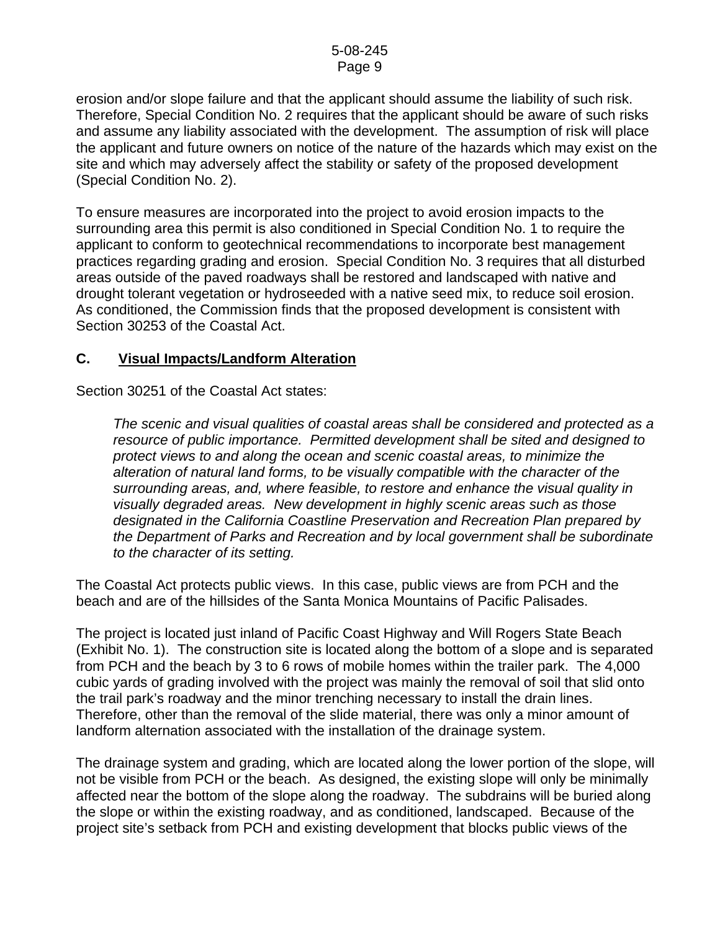erosion and/or slope failure and that the applicant should assume the liability of such risk. Therefore, Special Condition No. 2 requires that the applicant should be aware of such risks and assume any liability associated with the development. The assumption of risk will place the applicant and future owners on notice of the nature of the hazards which may exist on the site and which may adversely affect the stability or safety of the proposed development (Special Condition No. 2).

To ensure measures are incorporated into the project to avoid erosion impacts to the surrounding area this permit is also conditioned in Special Condition No. 1 to require the applicant to conform to geotechnical recommendations to incorporate best management practices regarding grading and erosion. Special Condition No. 3 requires that all disturbed areas outside of the paved roadways shall be restored and landscaped with native and drought tolerant vegetation or hydroseeded with a native seed mix, to reduce soil erosion. As conditioned, the Commission finds that the proposed development is consistent with Section 30253 of the Coastal Act.

## **C. Visual Impacts/Landform Alteration**

Section 30251 of the Coastal Act states:

*The scenic and visual qualities of coastal areas shall be considered and protected as a resource of public importance. Permitted development shall be sited and designed to protect views to and along the ocean and scenic coastal areas, to minimize the alteration of natural land forms, to be visually compatible with the character of the surrounding areas, and, where feasible, to restore and enhance the visual quality in visually degraded areas. New development in highly scenic areas such as those designated in the California Coastline Preservation and Recreation Plan prepared by the Department of Parks and Recreation and by local government shall be subordinate to the character of its setting.* 

The Coastal Act protects public views. In this case, public views are from PCH and the beach and are of the hillsides of the Santa Monica Mountains of Pacific Palisades.

The project is located just inland of Pacific Coast Highway and Will Rogers State Beach (Exhibit No. 1). The construction site is located along the bottom of a slope and is separated from PCH and the beach by 3 to 6 rows of mobile homes within the trailer park. The 4,000 cubic yards of grading involved with the project was mainly the removal of soil that slid onto the trail park's roadway and the minor trenching necessary to install the drain lines. Therefore, other than the removal of the slide material, there was only a minor amount of landform alternation associated with the installation of the drainage system.

The drainage system and grading, which are located along the lower portion of the slope, will not be visible from PCH or the beach. As designed, the existing slope will only be minimally affected near the bottom of the slope along the roadway. The subdrains will be buried along the slope or within the existing roadway, and as conditioned, landscaped. Because of the project site's setback from PCH and existing development that blocks public views of the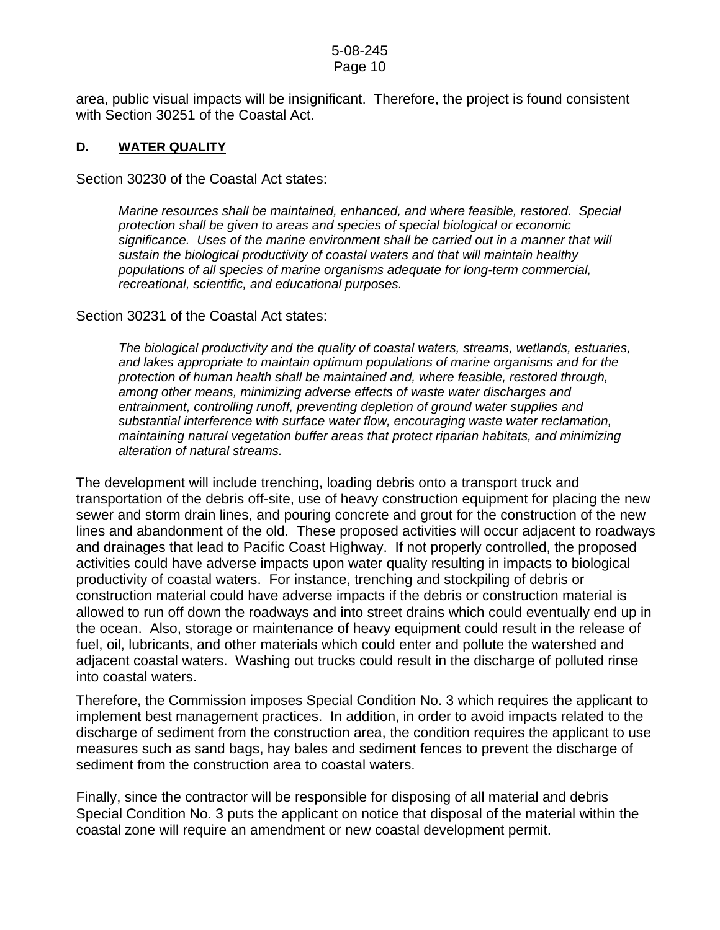area, public visual impacts will be insignificant. Therefore, the project is found consistent with Section 30251 of the Coastal Act.

#### **D. WATER QUALITY**

Section 30230 of the Coastal Act states:

*Marine resources shall be maintained, enhanced, and where feasible, restored. Special protection shall be given to areas and species of special biological or economic significance. Uses of the marine environment shall be carried out in a manner that will sustain the biological productivity of coastal waters and that will maintain healthy populations of all species of marine organisms adequate for long-term commercial, recreational, scientific, and educational purposes.* 

#### Section 30231 of the Coastal Act states:

*The biological productivity and the quality of coastal waters, streams, wetlands, estuaries, and lakes appropriate to maintain optimum populations of marine organisms and for the protection of human health shall be maintained and, where feasible, restored through, among other means, minimizing adverse effects of waste water discharges and entrainment, controlling runoff, preventing depletion of ground water supplies and substantial interference with surface water flow, encouraging waste water reclamation, maintaining natural vegetation buffer areas that protect riparian habitats, and minimizing alteration of natural streams.* 

The development will include trenching, loading debris onto a transport truck and transportation of the debris off-site, use of heavy construction equipment for placing the new sewer and storm drain lines, and pouring concrete and grout for the construction of the new lines and abandonment of the old. These proposed activities will occur adjacent to roadways and drainages that lead to Pacific Coast Highway. If not properly controlled, the proposed activities could have adverse impacts upon water quality resulting in impacts to biological productivity of coastal waters. For instance, trenching and stockpiling of debris or construction material could have adverse impacts if the debris or construction material is allowed to run off down the roadways and into street drains which could eventually end up in the ocean. Also, storage or maintenance of heavy equipment could result in the release of fuel, oil, lubricants, and other materials which could enter and pollute the watershed and adjacent coastal waters. Washing out trucks could result in the discharge of polluted rinse into coastal waters.

Therefore, the Commission imposes Special Condition No. 3 which requires the applicant to implement best management practices. In addition, in order to avoid impacts related to the discharge of sediment from the construction area, the condition requires the applicant to use measures such as sand bags, hay bales and sediment fences to prevent the discharge of sediment from the construction area to coastal waters.

Finally, since the contractor will be responsible for disposing of all material and debris Special Condition No. 3 puts the applicant on notice that disposal of the material within the coastal zone will require an amendment or new coastal development permit.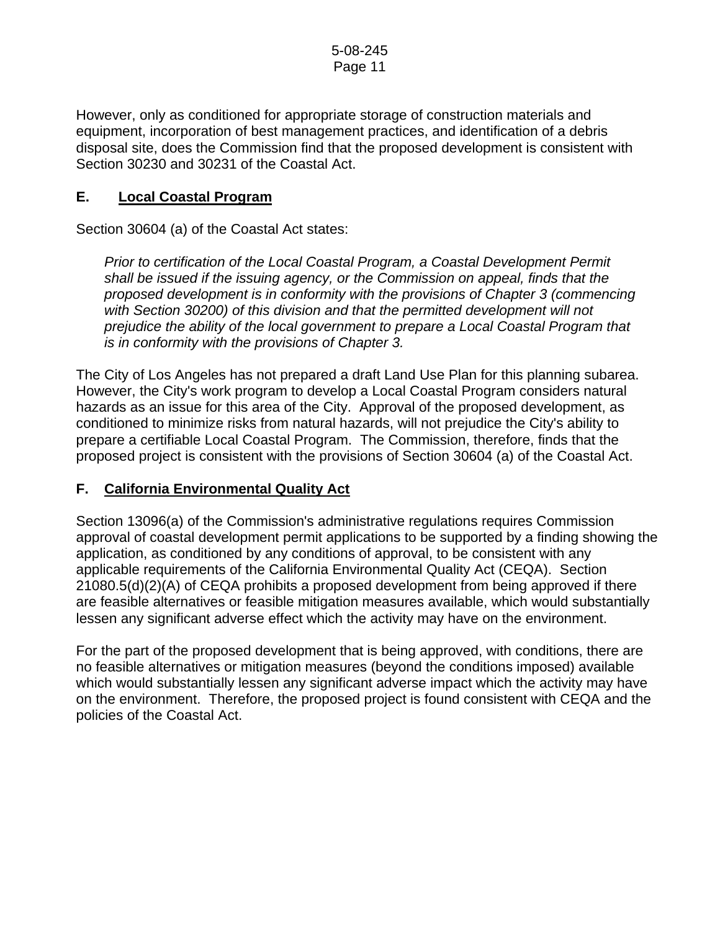However, only as conditioned for appropriate storage of construction materials and equipment, incorporation of best management practices, and identification of a debris disposal site, does the Commission find that the proposed development is consistent with Section 30230 and 30231 of the Coastal Act.

## **E. Local Coastal Program**

Section 30604 (a) of the Coastal Act states:

*Prior to certification of the Local Coastal Program, a Coastal Development Permit shall be issued if the issuing agency, or the Commission on appeal, finds that the proposed development is in conformity with the provisions of Chapter 3 (commencing with Section 30200) of this division and that the permitted development will not prejudice the ability of the local government to prepare a Local Coastal Program that is in conformity with the provisions of Chapter 3.* 

The City of Los Angeles has not prepared a draft Land Use Plan for this planning subarea. However, the City's work program to develop a Local Coastal Program considers natural hazards as an issue for this area of the City. Approval of the proposed development, as conditioned to minimize risks from natural hazards, will not prejudice the City's ability to prepare a certifiable Local Coastal Program. The Commission, therefore, finds that the proposed project is consistent with the provisions of Section 30604 (a) of the Coastal Act.

## **F. California Environmental Quality Act**

Section 13096(a) of the Commission's administrative regulations requires Commission approval of coastal development permit applications to be supported by a finding showing the application, as conditioned by any conditions of approval, to be consistent with any applicable requirements of the California Environmental Quality Act (CEQA). Section 21080.5(d)(2)(A) of CEQA prohibits a proposed development from being approved if there are feasible alternatives or feasible mitigation measures available, which would substantially lessen any significant adverse effect which the activity may have on the environment.

For the part of the proposed development that is being approved, with conditions, there are no feasible alternatives or mitigation measures (beyond the conditions imposed) available which would substantially lessen any significant adverse impact which the activity may have on the environment. Therefore, the proposed project is found consistent with CEQA and the policies of the Coastal Act.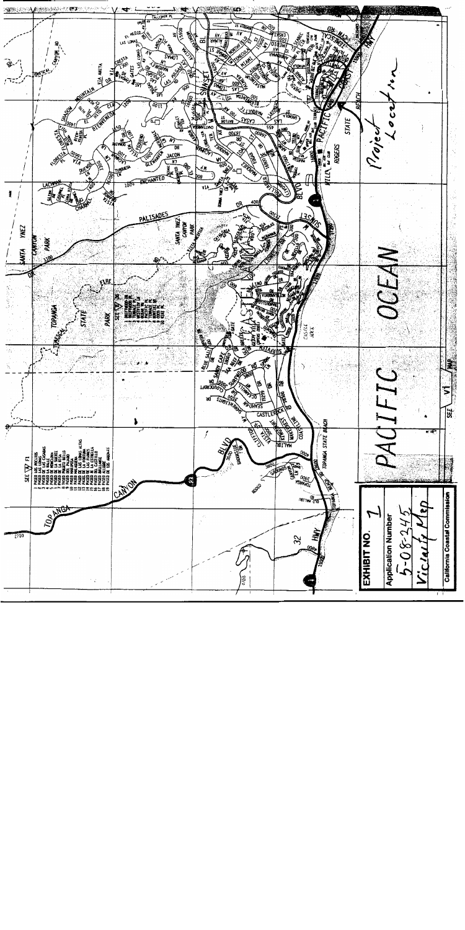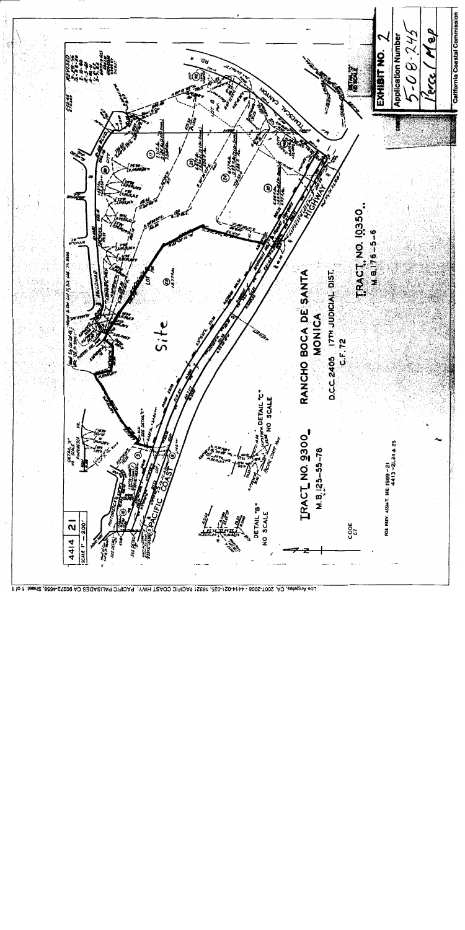

Los Angeles, CA. 2007-2008 - 4414-021-025, 16321 PACIFIC COAST HWY. PACIFIC PALISADES AD 80272-4686, 369-1761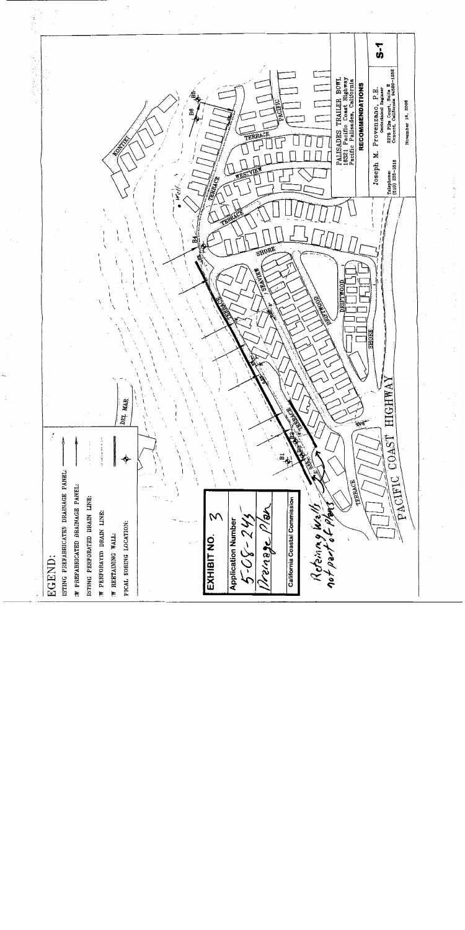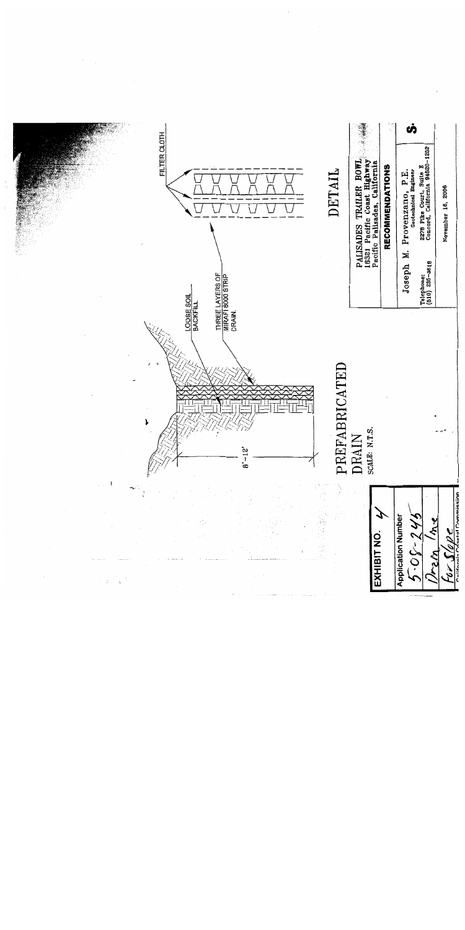